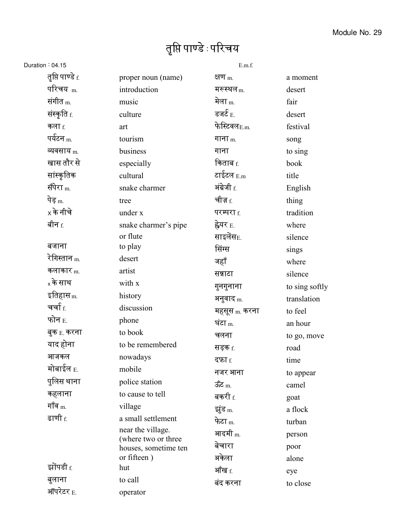## तृप्ति पाण्डे : परिचय

## Duration : 04.15

| ion:04.15                     |                                             | E.m.f.                   |                |
|-------------------------------|---------------------------------------------|--------------------------|----------------|
| तृप्ति पाण्डे $_{\rm f.}$     | proper noun (name)                          | क्षण $_{\rm m}$          | a moment       |
| परिचय <sub>m.</sub>           | introduction                                | मरूस्थल <sub>m.</sub>    | desert         |
| संगीत <sub>m.</sub>           | music                                       | मेला $_{\rm m}$          | fair           |
| संस्कृति <sub>f.</sub>        | culture                                     | डजर्ट $_{\rm E.}$        | desert         |
| कला $f$                       | art                                         | फेस्टिवलE.m.             | festival       |
| पर्यटन <sub>m.</sub>          | tourism                                     | गाना $m$                 | song           |
| व्यवसाय <sub>m.</sub>         | business                                    | गाना                     | to sing        |
| खास तौर से                    | especially                                  | किताब $_{\rm f.}$        | book           |
| सांस्कृतिक                    | cultural                                    | टाईटल $_{\rm E.m}$       | title          |
| सँपेरा <sub>m.</sub>          | snake charmer                               | अंग्रेजी f.              | English        |
| पेड़ <sub>m.</sub>            | tree                                        | चीज़ $_{\rm f.}$         | thing          |
| $\mathrm{\mathsf{x}}$ के नीचे | under x                                     | परम्परा f.               | tradition      |
| बीन <sub>f.</sub>             | snake charmer's pipe                        | ह्वेयर <sub>E.</sub>     | where          |
|                               | or flute                                    | साइलेंस $_{\rm E.}$      | silence        |
| बजाना                         | to play                                     | सिंग्स                   | sings          |
| रेगिस्तान <sub>m.</sub>       | desert                                      | जहाँ                     | where          |
| कलाकार $_{\rm m}$             | artist                                      | सन्नाटा                  | silence        |
| <sub>x</sub> के साथ           | with x                                      | गुनगुनाना                | to sing softly |
| इतिहास <sub>m.</sub>          | history                                     | अनुवाद m.                | translation    |
| चर्चा <sub>f.</sub>           | discussion                                  | महसूस <sub>m.</sub> करना | to feel        |
| फोन $_{\rm E.}$               | phone                                       | घंटा $m$ .               | an hour        |
| बुक <sub>E.</sub> करना        | to book                                     | चलना                     | to go, move    |
| याद होना                      | to be remembered                            | सड़क f.                  | road           |
| आजकल                          | nowadays                                    | दफ़ा <sub>f.</sub>       | time           |
| मोबाईल <sub>E.</sub>          | mobile                                      | नजर आना                  | to appear      |
| पुलिस थाना                    | police station                              | ऊँट $m$                  | camel          |
| कहलाना                        | to cause to tell                            | बकरी $_{\rm f.}$         | goat           |
| गॉव $_{\rm m.}$               | village                                     | झूंड m.                  | a flock        |
| ढाणी <u>f</u>                 | a small settlement                          | फेटा <sub>m.</sub>       | turban         |
|                               | near the village.                           | आदमी <sub>m.</sub>       | person         |
|                               | (where two or three<br>houses, sometime ten | बेचारा                   | poor           |
|                               | or fifteen)                                 | अकेला                    | alone          |
| झोंपडी f.                     | hut                                         | ऑख <sub>f.</sub>         | eye            |
| बुलाना                        | to call                                     | बंद करना                 | to close       |
| ऑपरेटर <sub>E.</sub>          | operator                                    |                          |                |